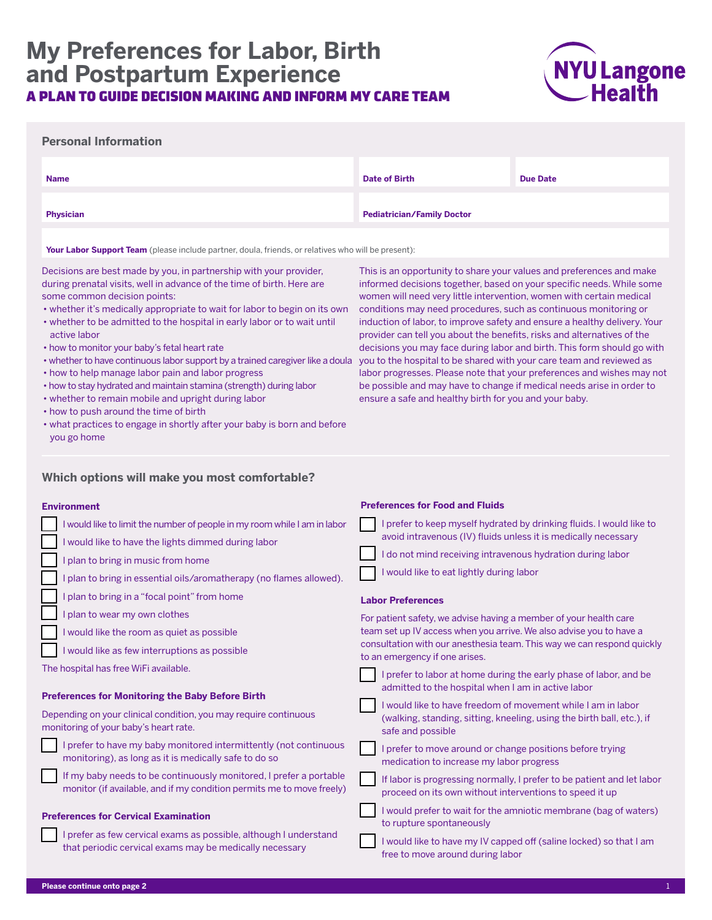# **My Preferences for Labor, Birth and Postpartum Experience** A PLAN TO GUIDE DECISION MAKING AND INFORM MY CARE TEAM



### **Personal Information**

| <b>Name</b>      | <b>Date of Birth</b>              | <b>Due Date</b> |
|------------------|-----------------------------------|-----------------|
| <b>Physician</b> | <b>Pediatrician/Family Doctor</b> |                 |

**Your Labor Support Team** (please include partner, doula, friends, or relatives who will be present):

Decisions are best made by you, in partnership with your provider, during prenatal visits, well in advance of the time of birth. Here are some common decision points:

- whether it's medically appropriate to wait for labor to begin on its own
- whether to be admitted to the hospital in early labor or to wait until active labor
- how to monitor your baby's fetal heart rate
- whether to have continuous labor support by a trained caregiver like a doula
- how to help manage labor pain and labor progress
- how to stay hydrated and maintain stamina (strength) during labor
- whether to remain mobile and upright during labor
- how to push around the time of birth
- what practices to engage in shortly after your baby is born and before you go home

**Which options will make you most comfortable?**

#### **Environment**

| I would like to limit the number of people in my room while I am in labor<br>I would like to have the lights dimmed during labor            | I prefer to keep myself hydrated by drinking fluids. I would like to<br>avoid intravenous (IV) fluids unless it is medically necessary |
|---------------------------------------------------------------------------------------------------------------------------------------------|----------------------------------------------------------------------------------------------------------------------------------------|
| plan to bring in music from home                                                                                                            | I do not mind receiving intravenous hydration during labor                                                                             |
| plan to bring in essential oils/aromatherapy (no flames allowed).                                                                           | I would like to eat lightly during labor                                                                                               |
| plan to bring in a "focal point" from home                                                                                                  | <b>Labor Preferences</b>                                                                                                               |
| plan to wear my own clothes                                                                                                                 | For patient safety, we advise having a member of your health care                                                                      |
| I would like the room as quiet as possible                                                                                                  | team set up IV access when you arrive. We also advise you to have a                                                                    |
| I would like as few interruptions as possible                                                                                               | consultation with our anesthesia team. This way we can respond quickly<br>to an emergency if one arises.                               |
| The hospital has free WiFi available.                                                                                                       | I prefer to labor at home during the early phase of labor, and be<br>admitted to the hospital when I am in active labor                |
| <b>Preferences for Monitoring the Baby Before Birth</b>                                                                                     | I would like to have freedom of movement while I am in labor                                                                           |
| Depending on your clinical condition, you may require continuous<br>monitoring of your baby's heart rate.                                   | (walking, standing, sitting, kneeling, using the birth ball, etc.), if<br>safe and possible                                            |
| I prefer to have my baby monitored intermittently (not continuous<br>monitoring), as long as it is medically safe to do so                  | I prefer to move around or change positions before trying<br>medication to increase my labor progress                                  |
| If my baby needs to be continuously monitored, I prefer a portable<br>monitor (if available, and if my condition permits me to move freely) | If labor is progressing normally, I prefer to be patient and let labor<br>proceed on its own without interventions to speed it up      |
| <b>Preferences for Cervical Examination</b>                                                                                                 | I would prefer to wait for the amniotic membrane (bag of waters)<br>to rupture spontaneously                                           |
| I prefer as few cervical exams as possible, although I understand<br>that periodic cervical exams may be medically necessary                | I would like to have my IV capped off (saline locked) so that I am<br>free to move around during labor                                 |

This is an opportunity to share your values and preferences and make informed decisions together, based on your specific needs. While some women will need very little intervention, women with certain medical conditions may need procedures, such as continuous monitoring or induction of labor, to improve safety and ensure a healthy delivery. Your provider can tell you about the benefits, risks and alternatives of the decisions you may face during labor and birth. This form should go with you to the hospital to be shared with your care team and reviewed as labor progresses. Please note that your preferences and wishes may not be possible and may have to change if medical needs arise in order to ensure a safe and healthy birth for you and your baby.

**Preferences for Food and Fluids**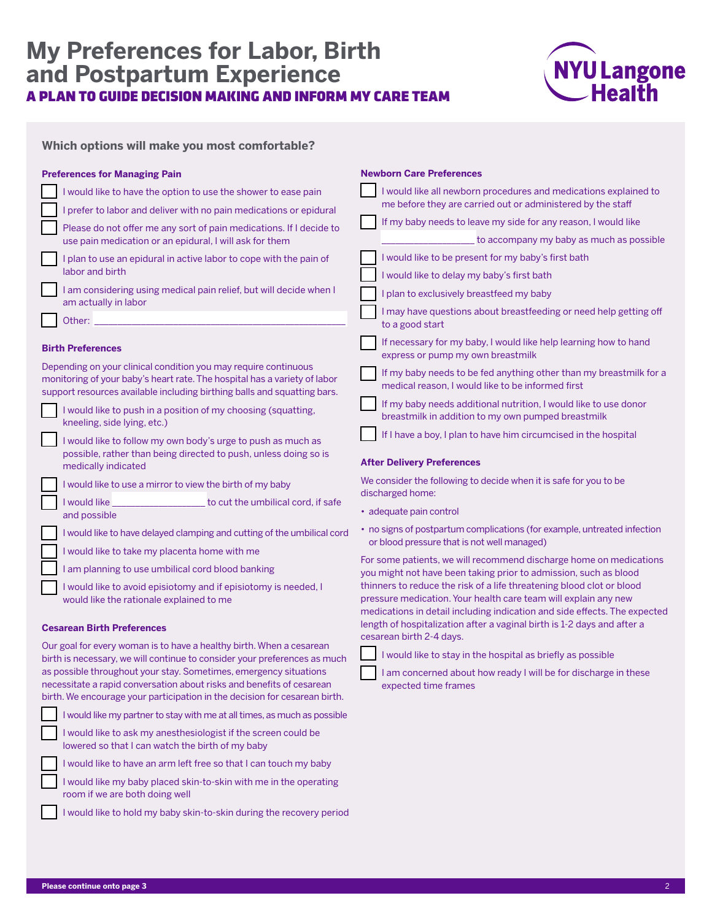# **My Preferences for Labor, Birth and Postpartum Experience** A PLAN TO GUIDE DECISION MAKING AND INFORM MY CARE TEAM



|  |  |  |  | Which options will make you most comfortable? |
|--|--|--|--|-----------------------------------------------|
|--|--|--|--|-----------------------------------------------|

| <b>Preferences for Managing Pain</b>                                                                                                                                                                                     | <b>Newborn Care Preferences</b>                                                                                                 |  |
|--------------------------------------------------------------------------------------------------------------------------------------------------------------------------------------------------------------------------|---------------------------------------------------------------------------------------------------------------------------------|--|
| I would like to have the option to use the shower to ease pain<br>I prefer to labor and deliver with no pain medications or epidural                                                                                     | I would like all newborn procedures and medications explained to<br>me before they are carried out or administered by the staff |  |
| Please do not offer me any sort of pain medications. If I decide to<br>use pain medication or an epidural, I will ask for them                                                                                           | If my baby needs to leave my side for any reason, I would like<br>to accompany my baby as much as possible                      |  |
| I plan to use an epidural in active labor to cope with the pain of<br>labor and birth                                                                                                                                    | I would like to be present for my baby's first bath<br>I would like to delay my baby's first bath                               |  |
| I am considering using medical pain relief, but will decide when I<br>am actually in labor                                                                                                                               | I plan to exclusively breastfeed my baby                                                                                        |  |
| Other:                                                                                                                                                                                                                   | I may have questions about breastfeeding or need help getting off<br>to a good start                                            |  |
| <b>Birth Preferences</b>                                                                                                                                                                                                 | If necessary for my baby, I would like help learning how to hand<br>express or pump my own breastmilk                           |  |
| Depending on your clinical condition you may require continuous<br>monitoring of your baby's heart rate. The hospital has a variety of labor<br>support resources available including birthing balls and squatting bars. | If my baby needs to be fed anything other than my breastmilk for a<br>medical reason. I would like to be informed first         |  |
| I would like to push in a position of my choosing (squatting,<br>kneeling, side lying, etc.)                                                                                                                             | If my baby needs additional nutrition, I would like to use donor<br>breastmilk in addition to my own pumped breastmilk          |  |
| I would like to follow my own body's urge to push as much as<br>possible, rather than being directed to push, unless doing so is                                                                                         | If I have a boy, I plan to have him circumcised in the hospital                                                                 |  |
| medically indicated                                                                                                                                                                                                      | <b>After Delivery Preferences</b>                                                                                               |  |
| I would like to use a mirror to view the birth of my baby                                                                                                                                                                | We consider the following to decide when it is safe for you to be<br>discharged home:                                           |  |
| to cut the umbilical cord, if safe<br>I would like<br>and possible                                                                                                                                                       | · adequate pain control                                                                                                         |  |
| I would like to have delayed clamping and cutting of the umbilical cord                                                                                                                                                  | • no signs of postpartum complications (for example, untreated infection<br>or blood pressure that is not well managed)         |  |

For some patients, we will recommend discharge home on medications you might not have been taking prior to admission, such as blood thinners to reduce the risk of a life threatening blood clot or blood pressure medication. Your health care team will explain any new medications in detail including indication and side effects. The expected length of hospitalization after a vaginal birth is 1-2 days and after a cesarean birth 2-4 days.

|  |  | I would like to stay in the hospital as briefly as possible |
|--|--|-------------------------------------------------------------|
|  |  |                                                             |

| I am concerned about how ready I will be for discharge in these |
|-----------------------------------------------------------------|
| expected time frames                                            |

**Cesarean Birth Preferences** Our goal for every woman is to have a healthy birth. When a cesarean birth is necessary, we will continue to consider your preferences as much as possible throughout your stay. Sometimes, emergency situations necessitate a rapid conversation about risks and benefits of cesarean birth. We encourage your participation in the decision for cesarean birth.

I would like my partner to stay with me at all times, as much as possible

I would like to ask my anesthesiologist if the screen could be lowered so that I can watch the birth of my baby

I would like to avoid episiotomy and if episiotomy is needed, I

I would like to take my placenta home with me I am planning to use umbilical cord blood banking

would like the rationale explained to me

I would like to have an arm left free so that I can touch my baby

I would like my baby placed skin-to-skin with me in the operating room if we are both doing well

I would like to hold my baby skin-to-skin during the recovery period

**Please continue onto page 3** 2